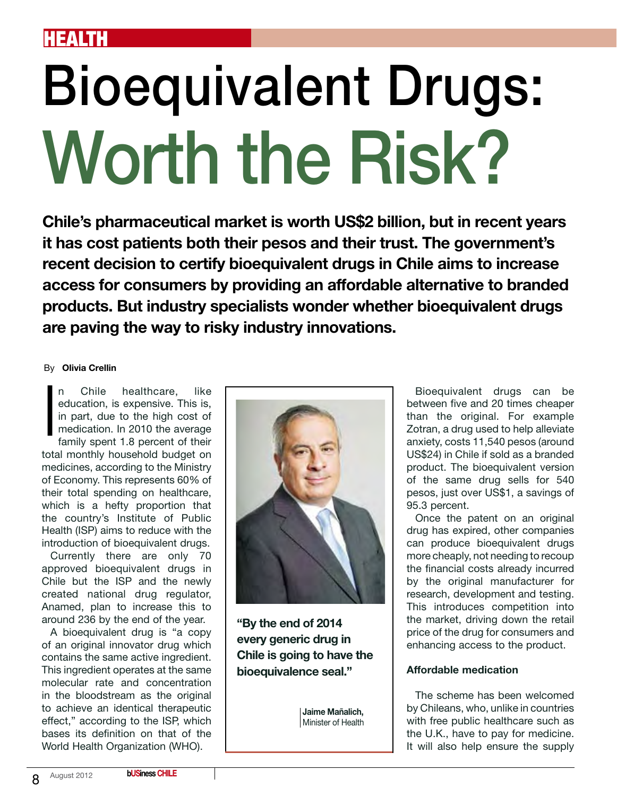## health

# Bioequivalent Drugs: Worth the Risk?

**Chile's pharmaceutical market is worth US\$2 billion, but in recent years it has cost patients both their pesos and their trust. The government's recent decision to certify bioequivalent drugs in Chile aims to increase access for consumers by providing an affordable alternative to branded products. But industry specialists wonder whether bioequivalent drugs are paving the way to risky industry innovations.**

#### By **Olivia Crellin**

Chile healthcare, like education, is expensive. This is, in part, due to the high cost of medication. In 2010 the average family spent 1.8 percent of their total monthly household budget on medicines, according to the Ministry of Economy. This represents 60% of their total spending on healthcare, which is a hefty proportion that the country's Institute of Public Health (ISP) aims to reduce with the introduction of bioequivalent drugs. I

Currently there are only 70 approved bioequivalent drugs in Chile but the ISP and the newly created national drug regulator, Anamed, plan to increase this to around 236 by the end of the year.

A bioequivalent drug is "a copy of an original innovator drug which contains the same active ingredient. This ingredient operates at the same molecular rate and concentration in the bloodstream as the original to achieve an identical therapeutic effect," according to the ISP, which bases its definition on that of the World Health Organization (WHO).



**"By the end of 2014 every generic drug in Chile is going to have the bioequivalence seal."** 

**Jaime Mañalich,**  Minister of Health

Bioequivalent drugs can be between five and 20 times cheaper than the original. For example Zotran, a drug used to help alleviate anxiety, costs 11,540 pesos (around US\$24) in Chile if sold as a branded product. The bioequivalent version of the same drug sells for 540 pesos, just over US\$1, a savings of 95.3 percent.

Once the patent on an original drug has expired, other companies can produce bioequivalent drugs more cheaply, not needing to recoup the financial costs already incurred by the original manufacturer for research, development and testing. This introduces competition into the market, driving down the retail price of the drug for consumers and enhancing access to the product.

### **Affordable medication**

The scheme has been welcomed by Chileans, who, unlike in countries with free public healthcare such as the U.K., have to pay for medicine. It will also help ensure the supply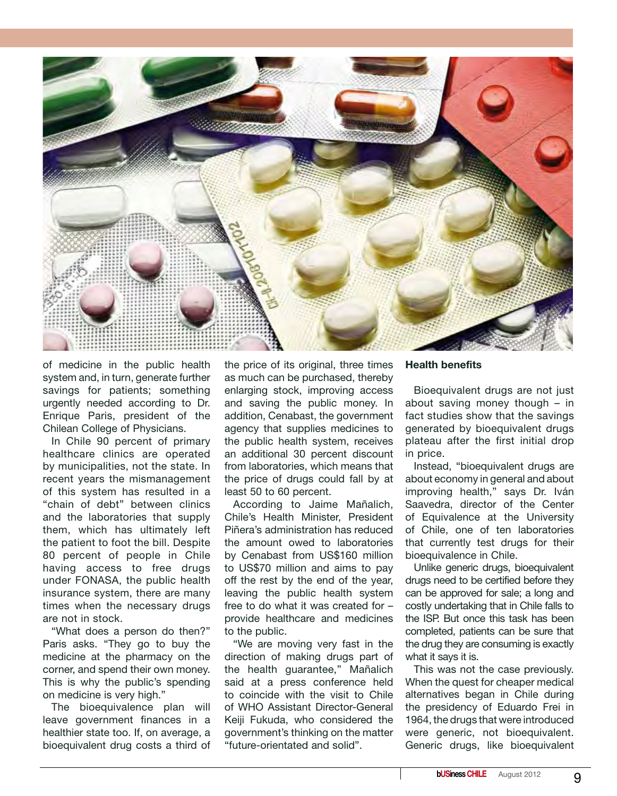

of medicine in the public health system and, in turn, generate further savings for patients; something urgently needed according to Dr. Enrique Paris, president of the Chilean College of Physicians.

In Chile 90 percent of primary healthcare clinics are operated by municipalities, not the state. In recent years the mismanagement of this system has resulted in a "chain of debt" between clinics and the laboratories that supply them, which has ultimately left the patient to foot the bill. Despite 80 percent of people in Chile having access to free drugs under FONASA, the public health insurance system, there are many times when the necessary drugs are not in stock.

"What does a person do then?" Paris asks. "They go to buy the medicine at the pharmacy on the corner, and spend their own money. This is why the public's spending on medicine is very high."

The bioequivalence plan will leave government finances in a healthier state too. If, on average, a bioequivalent drug costs a third of the price of its original, three times as much can be purchased, thereby enlarging stock, improving access and saving the public money. In addition, Cenabast, the government agency that supplies medicines to the public health system, receives an additional 30 percent discount from laboratories, which means that the price of drugs could fall by at least 50 to 60 percent.

According to Jaime Mañalich, Chile's Health Minister, President Piñera's administration has reduced the amount owed to laboratories by Cenabast from US\$160 million to US\$70 million and aims to pay off the rest by the end of the year, leaving the public health system free to do what it was created for – provide healthcare and medicines to the public.

"We are moving very fast in the direction of making drugs part of the health guarantee," Mañalich said at a press conference held to coincide with the visit to Chile of WHO Assistant Director-General Keiji Fukuda, who considered the government's thinking on the matter "future-orientated and solid".

#### **Health benefits**

Bioequivalent drugs are not just about saving money though – in fact studies show that the savings generated by bioequivalent drugs plateau after the first initial drop in price.

Instead, "bioequivalent drugs are about economy in general and about improving health," says Dr. Iván Saavedra, director of the Center of Equivalence at the University of Chile, one of ten laboratories that currently test drugs for their bioequivalence in Chile.

Unlike generic drugs, bioequivalent drugs need to be certified before they can be approved for sale; a long and costly undertaking that in Chile falls to the ISP. But once this task has been completed, patients can be sure that the drug they are consuming is exactly what it says it is.

This was not the case previously. When the quest for cheaper medical alternatives began in Chile during the presidency of Eduardo Frei in 1964, the drugs that were introduced were generic, not bioequivalent. Generic drugs, like bioequivalent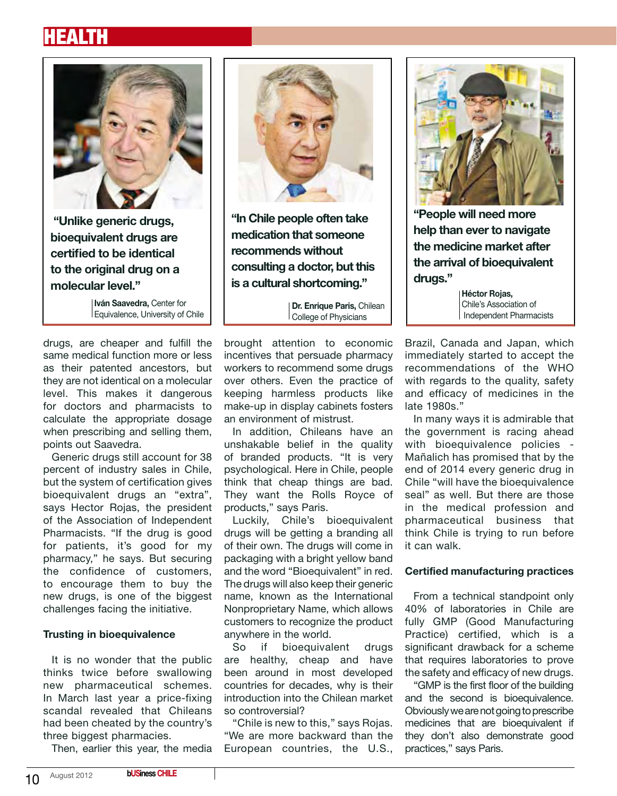## health



 **"Unlike generic drugs, bioequivalent drugs are certified to be identical to the original drug on a molecular level."**

**Iván Saavedra,** Center for Equivalence, University of Chile

drugs, are cheaper and fulfill the same medical function more or less as their patented ancestors, but they are not identical on a molecular level. This makes it dangerous for doctors and pharmacists to calculate the appropriate dosage when prescribing and selling them, points out Saavedra.

Generic drugs still account for 38 percent of industry sales in Chile, but the system of certification gives bioequivalent drugs an "extra", says Hector Rojas, the president of the Association of Independent Pharmacists. "If the drug is good for patients, it's good for my pharmacy," he says. But securing the confidence of customers, to encourage them to buy the new drugs, is one of the biggest challenges facing the initiative.

### **Trusting in bioequivalence**

It is no wonder that the public thinks twice before swallowing new pharmaceutical schemes. In March last year a price-fixing scandal revealed that Chileans had been cheated by the country's three biggest pharmacies.

Then, earlier this year, the media



**"In Chile people often take medication that someone recommends without consulting a doctor, but this is a cultural shortcoming."**

**Dr. Enrique Paris,** Chilean College of Physicians

brought attention to economic incentives that persuade pharmacy workers to recommend some drugs over others. Even the practice of keeping harmless products like make-up in display cabinets fosters an environment of mistrust.

In addition, Chileans have an unshakable belief in the quality of branded products. "It is very psychological. Here in Chile, people think that cheap things are bad. They want the Rolls Royce of products," says Paris.

Luckily, Chile's bioequivalent drugs will be getting a branding all of their own. The drugs will come in packaging with a bright yellow band and the word "Bioequivalent" in red. The drugs will also keep their generic name, known as the International Nonproprietary Name, which allows customers to recognize the product anywhere in the world.

So if bioequivalent drugs are healthy, cheap and have been around in most developed countries for decades, why is their introduction into the Chilean market so controversial?

"Chile is new to this," says Rojas. "We are more backward than the European countries, the U.S.,



**"People will need more help than ever to navigate the medicine market after the arrival of bioequivalent drugs."**

**Héctor Rojas,**  Chile's Association of Independent Pharmacists

Brazil, Canada and Japan, which immediately started to accept the recommendations of the WHO with regards to the quality, safety and efficacy of medicines in the late 1980s."

In many ways it is admirable that the government is racing ahead with bioequivalence policies - Mañalich has promised that by the end of 2014 every generic drug in Chile "will have the bioequivalence seal" as well. But there are those in the medical profession and pharmaceutical business that think Chile is trying to run before it can walk.

#### **Certified manufacturing practices**

From a technical standpoint only 40% of laboratories in Chile are fully GMP (Good Manufacturing Practice) certified, which is a significant drawback for a scheme that requires laboratories to prove the safety and efficacy of new drugs.

"GMP is the first floor of the building and the second is bioequivalence. Obviously we are not going to prescribe medicines that are bioequivalent if they don't also demonstrate good practices," says Paris.